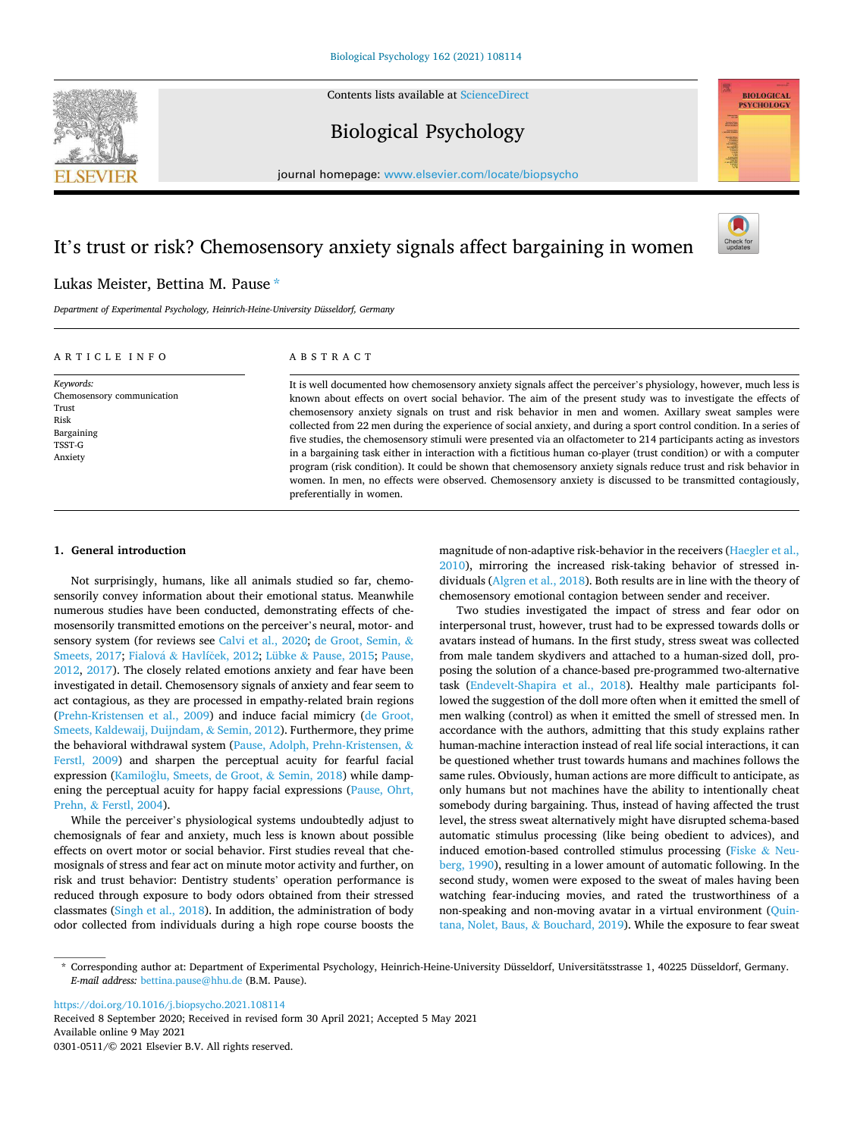Contents lists available at [ScienceDirect](www.sciencedirect.com/science/journal/03010511)







journal homepage: [www.elsevier.com/locate/biopsycho](https://www.elsevier.com/locate/biopsycho) 

# It's trust or risk? Chemosensory anxiety signals affect bargaining in women



## Lukas Meister, Bettina M. Pause \*

*Department of Experimental Psychology, Heinrich-Heine-University Düsseldorf, Germany* 

## A R T I C L E I N F O

*Keywords:*  Chemosensory communication Trust Risk Bargaining TSST-G Anxiety

## ABSTRACT

It is well documented how chemosensory anxiety signals affect the perceiver's physiology, however, much less is known about effects on overt social behavior. The aim of the present study was to investigate the effects of chemosensory anxiety signals on trust and risk behavior in men and women. Axillary sweat samples were collected from 22 men during the experience of social anxiety, and during a sport control condition. In a series of five studies, the chemosensory stimuli were presented via an olfactometer to 214 participants acting as investors in a bargaining task either in interaction with a fictitious human co-player (trust condition) or with a computer program (risk condition). It could be shown that chemosensory anxiety signals reduce trust and risk behavior in women. In men, no effects were observed. Chemosensory anxiety is discussed to be transmitted contagiously, preferentially in women.

## **1. General introduction**

Not surprisingly, humans, like all animals studied so far, chemosensorily convey information about their emotional status. Meanwhile numerous studies have been conducted, demonstrating effects of chemosensorily transmitted emotions on the perceiver's neural, motor- and sensory system (for reviews see [Calvi et al., 2020;](#page-10-0) [de Groot, Semin,](#page-10-0) & [Smeets, 2017](#page-10-0); Fialová & Havlíček, 2012; Lübke & [Pause, 2015](#page-10-0); Pause, [2012,](#page-10-0) [2017](#page-10-0)). The closely related emotions anxiety and fear have been investigated in detail. Chemosensory signals of anxiety and fear seem to act contagious, as they are processed in empathy-related brain regions ([Prehn-Kristensen et al., 2009](#page-10-0)) and induce facial mimicry ([de Groot,](#page-10-0)  [Smeets, Kaldewaij, Duijndam,](#page-10-0) & Semin, 2012). Furthermore, they prime the behavioral withdrawal system ([Pause, Adolph, Prehn-Kristensen,](#page-10-0) & [Ferstl, 2009](#page-10-0)) and sharpen the perceptual acuity for fearful facial expression (Kamiloğlu, Smeets, de Groot, & Semin, 2018) while dampening the perceptual acuity for happy facial expressions ([Pause, Ohrt,](#page-10-0)  Prehn, & [Ferstl, 2004\)](#page-10-0).

While the perceiver's physiological systems undoubtedly adjust to chemosignals of fear and anxiety, much less is known about possible effects on overt motor or social behavior. First studies reveal that chemosignals of stress and fear act on minute motor activity and further, on risk and trust behavior: Dentistry students' operation performance is reduced through exposure to body odors obtained from their stressed classmates [\(Singh et al., 2018\)](#page-10-0). In addition, the administration of body odor collected from individuals during a high rope course boosts the magnitude of non-adaptive risk-behavior in the receivers [\(Haegler et al.,](#page-10-0)  [2010\)](#page-10-0), mirroring the increased risk-taking behavior of stressed individuals ([Algren et al., 2018](#page-9-0)). Both results are in line with the theory of chemosensory emotional contagion between sender and receiver.

Two studies investigated the impact of stress and fear odor on interpersonal trust, however, trust had to be expressed towards dolls or avatars instead of humans. In the first study, stress sweat was collected from male tandem skydivers and attached to a human-sized doll, proposing the solution of a chance-based pre-programmed two-alternative task [\(Endevelt-Shapira et al., 2018\)](#page-10-0). Healthy male participants followed the suggestion of the doll more often when it emitted the smell of men walking (control) as when it emitted the smell of stressed men. In accordance with the authors, admitting that this study explains rather human-machine interaction instead of real life social interactions, it can be questioned whether trust towards humans and machines follows the same rules. Obviously, human actions are more difficult to anticipate, as only humans but not machines have the ability to intentionally cheat somebody during bargaining. Thus, instead of having affected the trust level, the stress sweat alternatively might have disrupted schema-based automatic stimulus processing (like being obedient to advices), and induced emotion-based controlled stimulus processing ([Fiske](#page-10-0) & Neu[berg, 1990\)](#page-10-0), resulting in a lower amount of automatic following. In the second study, women were exposed to the sweat of males having been watching fear-inducing movies, and rated the trustworthiness of a non-speaking and non-moving avatar in a virtual environment ([Quin](#page-10-0)[tana, Nolet, Baus,](#page-10-0) & Bouchard, 2019). While the exposure to fear sweat

<https://doi.org/10.1016/j.biopsycho.2021.108114>

Available online 9 May 2021 0301-0511/© 2021 Elsevier B.V. All rights reserved. Received 8 September 2020; Received in revised form 30 April 2021; Accepted 5 May 2021

<sup>\*</sup> Corresponding author at: Department of Experimental Psychology, Heinrich-Heine-University Düsseldorf, Universitätsstrasse 1, 40225 Düsseldorf, Germany. *E-mail address:* [bettina.pause@hhu.de](mailto:bettina.pause@hhu.de) (B.M. Pause).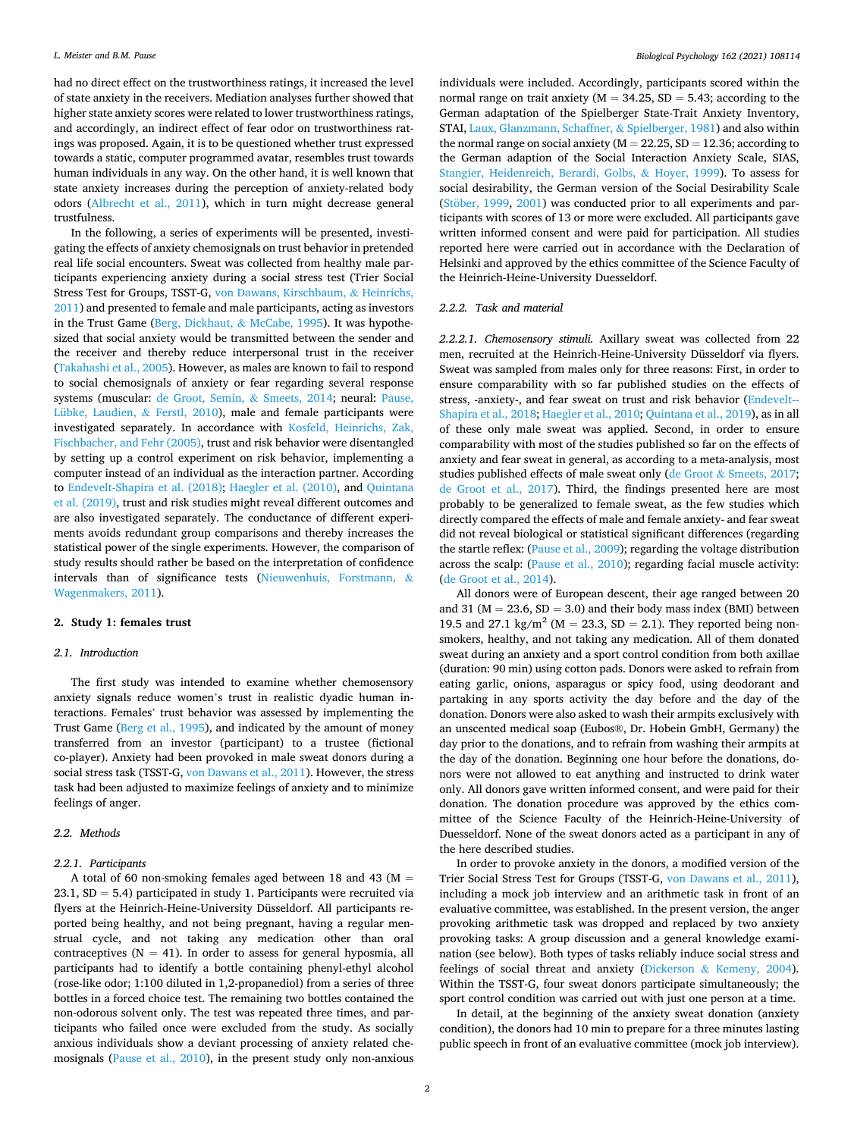had no direct effect on the trustworthiness ratings, it increased the level of state anxiety in the receivers. Mediation analyses further showed that higher state anxiety scores were related to lower trustworthiness ratings, and accordingly, an indirect effect of fear odor on trustworthiness ratings was proposed. Again, it is to be questioned whether trust expressed towards a static, computer programmed avatar, resembles trust towards human individuals in any way. On the other hand, it is well known that state anxiety increases during the perception of anxiety-related body odors ([Albrecht et al., 2011\)](#page-9-0), which in turn might decrease general trustfulness.

In the following, a series of experiments will be presented, investigating the effects of anxiety chemosignals on trust behavior in pretended real life social encounters. Sweat was collected from healthy male participants experiencing anxiety during a social stress test (Trier Social Stress Test for Groups, TSST-G, [von Dawans, Kirschbaum,](#page-10-0) & Heinrichs, [2011\)](#page-10-0) and presented to female and male participants, acting as investors in the Trust Game ([Berg, Dickhaut,](#page-9-0) & McCabe, 1995). It was hypothesized that social anxiety would be transmitted between the sender and the receiver and thereby reduce interpersonal trust in the receiver ([Takahashi et al., 2005](#page-10-0)). However, as males are known to fail to respond to social chemosignals of anxiety or fear regarding several response systems (muscular: [de Groot, Semin,](#page-10-0) & Smeets, 2014; neural: [Pause,](#page-10-0)  [Lübke, Laudien,](#page-10-0) & Ferstl, 2010), male and female participants were investigated separately. In accordance with [Kosfeld, Heinrichs, Zak,](#page-10-0)  [Fischbacher, and Fehr \(2005\)](#page-10-0), trust and risk behavior were disentangled by setting up a control experiment on risk behavior, implementing a computer instead of an individual as the interaction partner. According to [Endevelt-Shapira et al. \(2018\)](#page-10-0); [Haegler et al. \(2010\)](#page-10-0), and [Quintana](#page-10-0)  [et al. \(2019\)](#page-10-0), trust and risk studies might reveal different outcomes and are also investigated separately. The conductance of different experiments avoids redundant group comparisons and thereby increases the statistical power of the single experiments. However, the comparison of study results should rather be based on the interpretation of confidence intervals than of significance tests [\(Nieuwenhuis, Forstmann,](#page-10-0) & [Wagenmakers, 2011\)](#page-10-0).

#### **2. Study 1: females trust**

## *2.1. Introduction*

The first study was intended to examine whether chemosensory anxiety signals reduce women's trust in realistic dyadic human interactions. Females' trust behavior was assessed by implementing the Trust Game [\(Berg et al., 1995\)](#page-9-0), and indicated by the amount of money transferred from an investor (participant) to a trustee (fictional co-player). Anxiety had been provoked in male sweat donors during a social stress task (TSST-G, [von Dawans et al., 2011](#page-10-0)). However, the stress task had been adjusted to maximize feelings of anxiety and to minimize feelings of anger.

## *2.2. Methods*

## *2.2.1. Participants*

A total of 60 non-smoking females aged between 18 and 43 ( $M =$  $23.1, SD = 5.4$ ) participated in study 1. Participants were recruited via flyers at the Heinrich-Heine-University Düsseldorf. All participants reported being healthy, and not being pregnant, having a regular menstrual cycle, and not taking any medication other than oral contraceptives ( $N = 41$ ). In order to assess for general hyposmia, all participants had to identify a bottle containing phenyl-ethyl alcohol (rose-like odor; 1:100 diluted in 1,2-propanediol) from a series of three bottles in a forced choice test. The remaining two bottles contained the non-odorous solvent only. The test was repeated three times, and participants who failed once were excluded from the study. As socially anxious individuals show a deviant processing of anxiety related chemosignals ([Pause et al., 2010\)](#page-10-0), in the present study only non-anxious

individuals were included. Accordingly, participants scored within the normal range on trait anxiety ( $M = 34.25$ ,  $SD = 5.43$ ; according to the German adaptation of the Spielberger State-Trait Anxiety Inventory, STAI, [Laux, Glanzmann, Schaffner,](#page-10-0) & Spielberger, 1981) and also within the normal range on social anxiety ( $M = 22.25$ ,  $SD = 12.36$ ; according to the German adaption of the Social Interaction Anxiety Scale, SIAS, [Stangier, Heidenreich, Berardi, Golbs,](#page-10-0) & Hoyer, 1999). To assess for social desirability, the German version of the Social Desirability Scale (Stöber, 1999, [2001](#page-10-0)) was conducted prior to all experiments and participants with scores of 13 or more were excluded. All participants gave written informed consent and were paid for participation. All studies reported here were carried out in accordance with the Declaration of Helsinki and approved by the ethics committee of the Science Faculty of the Heinrich-Heine-University Duesseldorf.

#### *2.2.2. Task and material*

*2.2.2.1. Chemosensory stimuli.* Axillary sweat was collected from 22 men, recruited at the Heinrich-Heine-University Düsseldorf via flyers. Sweat was sampled from males only for three reasons: First, in order to ensure comparability with so far published studies on the effects of stress, -anxiety-, and fear sweat on trust and risk behavior ([Endevelt--](#page-10-0) [Shapira et al., 2018](#page-10-0); [Haegler et al., 2010; Quintana et al., 2019](#page-10-0)), as in all of these only male sweat was applied. Second, in order to ensure comparability with most of the studies published so far on the effects of anxiety and fear sweat in general, as according to a meta-analysis, most studies published effects of male sweat only (de Groot & [Smeets, 2017](#page-10-0); [de Groot et al., 2017](#page-10-0)). Third, the findings presented here are most probably to be generalized to female sweat, as the few studies which directly compared the effects of male and female anxiety- and fear sweat did not reveal biological or statistical significant differences (regarding the startle reflex: ([Pause et al., 2009](#page-10-0)); regarding the voltage distribution across the scalp: ([Pause et al., 2010\)](#page-10-0); regarding facial muscle activity: ([de Groot et al., 2014](#page-10-0)).

All donors were of European descent, their age ranged between 20 and 31 ( $M = 23.6$ ,  $SD = 3.0$ ) and their body mass index (BMI) between 19.5 and 27.1 kg/m<sup>2</sup> (M = 23.3, SD = 2.1). They reported being nonsmokers, healthy, and not taking any medication. All of them donated sweat during an anxiety and a sport control condition from both axillae (duration: 90 min) using cotton pads. Donors were asked to refrain from eating garlic, onions, asparagus or spicy food, using deodorant and partaking in any sports activity the day before and the day of the donation. Donors were also asked to wash their armpits exclusively with an unscented medical soap (Eubos®, Dr. Hobein GmbH, Germany) the day prior to the donations, and to refrain from washing their armpits at the day of the donation. Beginning one hour before the donations, donors were not allowed to eat anything and instructed to drink water only. All donors gave written informed consent, and were paid for their donation. The donation procedure was approved by the ethics committee of the Science Faculty of the Heinrich-Heine-University of Duesseldorf. None of the sweat donors acted as a participant in any of the here described studies.

In order to provoke anxiety in the donors, a modified version of the Trier Social Stress Test for Groups (TSST-G, [von Dawans et al., 2011](#page-10-0)), including a mock job interview and an arithmetic task in front of an evaluative committee, was established. In the present version, the anger provoking arithmetic task was dropped and replaced by two anxiety provoking tasks: A group discussion and a general knowledge examination (see below). Both types of tasks reliably induce social stress and feelings of social threat and anxiety (Dickerson & [Kemeny, 2004](#page-10-0)). Within the TSST-G, four sweat donors participate simultaneously; the sport control condition was carried out with just one person at a time.

In detail, at the beginning of the anxiety sweat donation (anxiety condition), the donors had 10 min to prepare for a three minutes lasting public speech in front of an evaluative committee (mock job interview).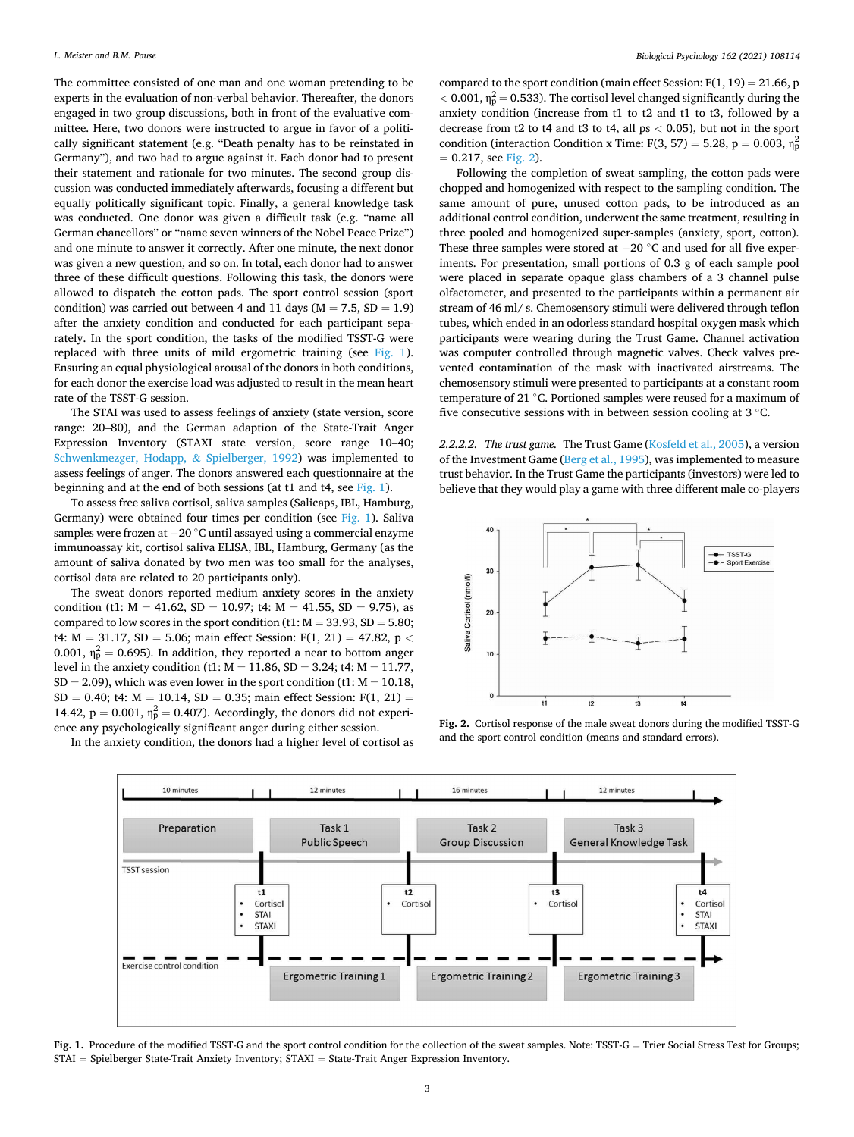The committee consisted of one man and one woman pretending to be experts in the evaluation of non-verbal behavior. Thereafter, the donors engaged in two group discussions, both in front of the evaluative committee. Here, two donors were instructed to argue in favor of a politically significant statement (e.g. "Death penalty has to be reinstated in Germany"), and two had to argue against it. Each donor had to present their statement and rationale for two minutes. The second group discussion was conducted immediately afterwards, focusing a different but equally politically significant topic. Finally, a general knowledge task was conducted. One donor was given a difficult task (e.g. "name all German chancellors" or "name seven winners of the Nobel Peace Prize") and one minute to answer it correctly. After one minute, the next donor was given a new question, and so on. In total, each donor had to answer three of these difficult questions. Following this task, the donors were allowed to dispatch the cotton pads. The sport control session (sport condition) was carried out between 4 and 11 days ( $M = 7.5$ ,  $SD = 1.9$ ) after the anxiety condition and conducted for each participant separately. In the sport condition, the tasks of the modified TSST-G were replaced with three units of mild ergometric training (see Fig. 1). Ensuring an equal physiological arousal of the donors in both conditions, for each donor the exercise load was adjusted to result in the mean heart rate of the TSST-G session.

The STAI was used to assess feelings of anxiety (state version, score range: 20–80), and the German adaption of the State-Trait Anger Expression Inventory (STAXI state version, score range 10–40; [Schwenkmezger, Hodapp,](#page-10-0) & Spielberger, 1992) was implemented to assess feelings of anger. The donors answered each questionnaire at the beginning and at the end of both sessions (at t1 and t4, see Fig. 1).

To assess free saliva cortisol, saliva samples (Salicaps, IBL, Hamburg, Germany) were obtained four times per condition (see Fig. 1). Saliva samples were frozen at −20 ◦C until assayed using a commercial enzyme immunoassay kit, cortisol saliva ELISA, IBL, Hamburg, Germany (as the amount of saliva donated by two men was too small for the analyses, cortisol data are related to 20 participants only).

The sweat donors reported medium anxiety scores in the anxiety condition (t1:  $M = 41.62$ ,  $SD = 10.97$ ; t4:  $M = 41.55$ ,  $SD = 9.75$ ), as compared to low scores in the sport condition (t1:  $M = 33.93$ , SD = 5.80; t4: M = 31.17, SD = 5.06; main effect Session: F(1, 21) = 47.82, p *<* 0.001,  $\eta_p^2 = 0.695$ ). In addition, they reported a near to bottom anger level in the anxiety condition (t1: M = 11.86, SD = 3.24; t4: M = 11.77,  $SD = 2.09$ ), which was even lower in the sport condition (t1:  $M = 10.18$ ,  $SD = 0.40$ ; t4:  $M = 10.14$ ,  $SD = 0.35$ ; main effect Session:  $F(1, 21) =$ 14.42,  $p = 0.001$ ,  $\eta_p^2 = 0.407$ ). Accordingly, the donors did not experience any psychologically significant anger during either session.

In the anxiety condition, the donors had a higher level of cortisol as

compared to the sport condition (main effect Session:  $F(1, 19) = 21.66$ , p  $<$  0.001,  $\eta_p^2$  = 0.533). The cortisol level changed significantly during the anxiety condition (increase from t1 to t2 and t1 to t3, followed by a decrease from t2 to t4 and t3 to t4, all ps *<* 0.05), but not in the sport condition (interaction Condition x Time: F(3, 57) = 5.28, p = 0.003,  $\eta_p^2$  $= 0.217$ , see Fig. 2).

Following the completion of sweat sampling, the cotton pads were chopped and homogenized with respect to the sampling condition. The same amount of pure, unused cotton pads, to be introduced as an additional control condition, underwent the same treatment, resulting in three pooled and homogenized super-samples (anxiety, sport, cotton). These three samples were stored at −20 ◦C and used for all five experiments. For presentation, small portions of 0.3 g of each sample pool were placed in separate opaque glass chambers of a 3 channel pulse olfactometer, and presented to the participants within a permanent air stream of 46 ml/ s. Chemosensory stimuli were delivered through teflon tubes, which ended in an odorless standard hospital oxygen mask which participants were wearing during the Trust Game. Channel activation was computer controlled through magnetic valves. Check valves prevented contamination of the mask with inactivated airstreams. The chemosensory stimuli were presented to participants at a constant room temperature of 21 ◦C. Portioned samples were reused for a maximum of five consecutive sessions with in between session cooling at 3 °C.

*2.2.2.2. The trust game.* The Trust Game ([Kosfeld et al., 2005](#page-10-0)), a version of the Investment Game ([Berg et al., 1995\)](#page-9-0), was implemented to measure trust behavior. In the Trust Game the participants (investors) were led to believe that they would play a game with three different male co-players



**Fig. 2.** Cortisol response of the male sweat donors during the modified TSST-G and the sport control condition (means and standard errors).



Fig. 1. Procedure of the modified TSST-G and the sport control condition for the collection of the sweat samples. Note: TSST-G = Trier Social Stress Test for Groups; STAI = Spielberger State-Trait Anxiety Inventory; STAXI = State-Trait Anger Expression Inventory.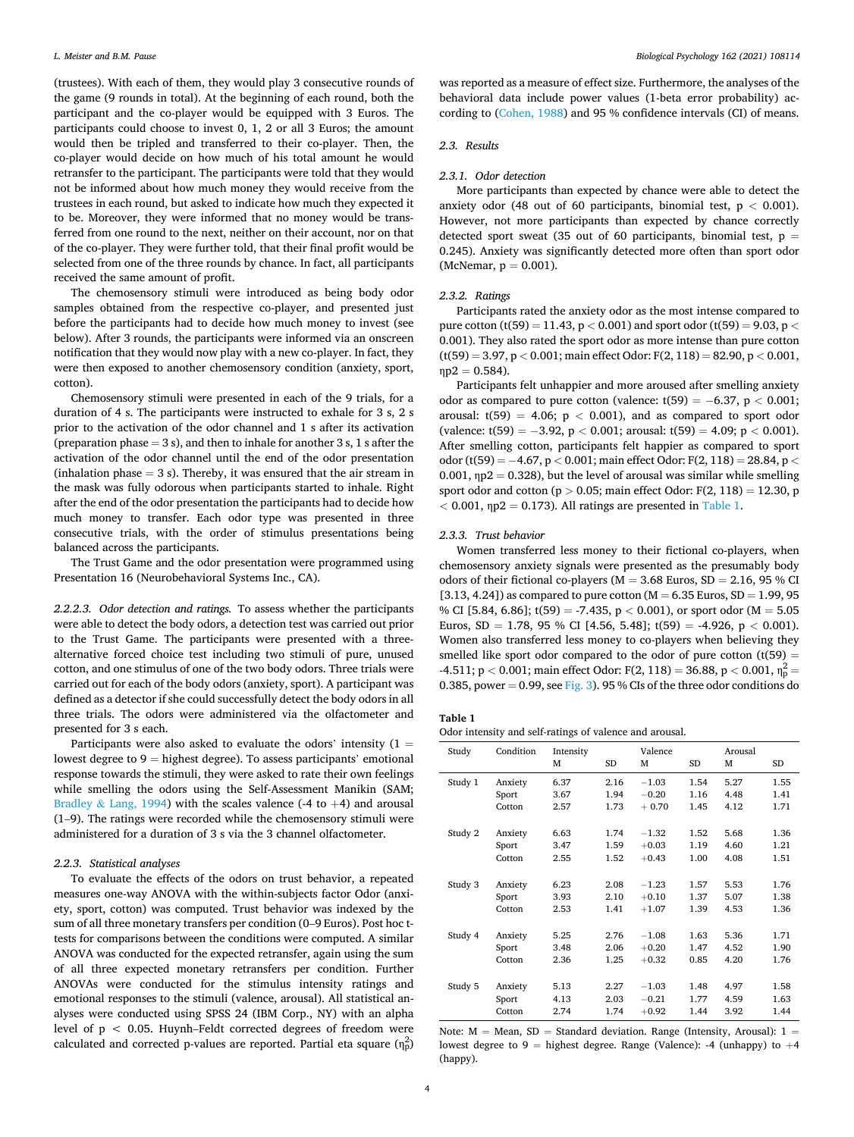<span id="page-3-0"></span>(trustees). With each of them, they would play 3 consecutive rounds of the game (9 rounds in total). At the beginning of each round, both the participant and the co-player would be equipped with 3 Euros. The participants could choose to invest 0, 1, 2 or all 3 Euros; the amount would then be tripled and transferred to their co-player. Then, the co-player would decide on how much of his total amount he would retransfer to the participant. The participants were told that they would not be informed about how much money they would receive from the trustees in each round, but asked to indicate how much they expected it to be. Moreover, they were informed that no money would be transferred from one round to the next, neither on their account, nor on that of the co-player. They were further told, that their final profit would be selected from one of the three rounds by chance. In fact, all participants received the same amount of profit.

The chemosensory stimuli were introduced as being body odor samples obtained from the respective co-player, and presented just before the participants had to decide how much money to invest (see below). After 3 rounds, the participants were informed via an onscreen notification that they would now play with a new co-player. In fact, they were then exposed to another chemosensory condition (anxiety, sport, cotton).

Chemosensory stimuli were presented in each of the 9 trials, for a duration of 4 s. The participants were instructed to exhale for 3 s, 2 s prior to the activation of the odor channel and 1 s after its activation (preparation phase  $= 3$  s), and then to inhale for another  $3$  s,  $1$  s after the activation of the odor channel until the end of the odor presentation (inhalation phase  $= 3$  s). Thereby, it was ensured that the air stream in the mask was fully odorous when participants started to inhale. Right after the end of the odor presentation the participants had to decide how much money to transfer. Each odor type was presented in three consecutive trials, with the order of stimulus presentations being balanced across the participants.

The Trust Game and the odor presentation were programmed using Presentation 16 (Neurobehavioral Systems Inc., CA).

*2.2.2.3. Odor detection and ratings.* To assess whether the participants were able to detect the body odors, a detection test was carried out prior to the Trust Game. The participants were presented with a threealternative forced choice test including two stimuli of pure, unused cotton, and one stimulus of one of the two body odors. Three trials were carried out for each of the body odors (anxiety, sport). A participant was defined as a detector if she could successfully detect the body odors in all three trials. The odors were administered via the olfactometer and presented for 3 s each.

Participants were also asked to evaluate the odors' intensity  $(1 =$ lowest degree to  $9 =$  highest degree). To assess participants' emotional response towards the stimuli, they were asked to rate their own feelings while smelling the odors using the Self-Assessment Manikin (SAM; Bradley & [Lang, 1994\)](#page-10-0) with the scales valence (-4 to  $+4$ ) and arousal (1–9). The ratings were recorded while the chemosensory stimuli were administered for a duration of 3 s via the 3 channel olfactometer.

## *2.2.3. Statistical analyses*

To evaluate the effects of the odors on trust behavior, a repeated measures one-way ANOVA with the within-subjects factor Odor (anxiety, sport, cotton) was computed. Trust behavior was indexed by the sum of all three monetary transfers per condition (0–9 Euros). Post hoc ttests for comparisons between the conditions were computed. A similar ANOVA was conducted for the expected retransfer, again using the sum of all three expected monetary retransfers per condition. Further ANOVAs were conducted for the stimulus intensity ratings and emotional responses to the stimuli (valence, arousal). All statistical analyses were conducted using SPSS 24 (IBM Corp., NY) with an alpha level of p *<* 0.05. Huynh–Feldt corrected degrees of freedom were calculated and corrected p-values are reported. Partial eta square  $(\eta_p^2)$ 

was reported as a measure of effect size. Furthermore, the analyses of the behavioral data include power values (1-beta error probability) according to [\(Cohen, 1988](#page-10-0)) and 95 % confidence intervals (CI) of means.

## *2.3. Results*

## *2.3.1. Odor detection*

More participants than expected by chance were able to detect the anxiety odor (48 out of 60 participants, binomial test, p *<* 0.001). However, not more participants than expected by chance correctly detected sport sweat (35 out of 60 participants, binomial test,  $p =$ 0.245). Anxiety was significantly detected more often than sport odor (McNemar,  $p = 0.001$ ).

## *2.3.2. Ratings*

Participants rated the anxiety odor as the most intense compared to pure cotton (t(59) = 11.43,  $p < 0.001$ ) and sport odor (t(59) = 9.03,  $p <$ 0.001). They also rated the sport odor as more intense than pure cotton (t(59) = 3.97, p *<* 0.001; main effect Odor: F(2, 118) = 82.90, p *<* 0.001,  $<sub>ηp2</sub> = 0.584$ ).</sub>

Participants felt unhappier and more aroused after smelling anxiety odor as compared to pure cotton (valence: t(59) = −6.37, p *<* 0.001; arousal:  $t(59) = 4.06$ ;  $p < 0.001$ ), and as compared to sport odor (valence: t(59) = −3.92, p *<* 0.001; arousal: t(59) = 4.09; p *<* 0.001). After smelling cotton, participants felt happier as compared to sport odor (t(59) = −4.67, p *<* 0.001; main effect Odor: F(2, 118) = 28.84, p *<* 0.001,  $np2 = 0.328$ ), but the level of arousal was similar while smelling sport odor and cotton (p *>* 0.05; main effect Odor: F(2, 118) = 12.30, p  $<$  0.001,  $np2 = 0.173$ ). All ratings are presented in Table 1.

#### *2.3.3. Trust behavior*

Women transferred less money to their fictional co-players, when chemosensory anxiety signals were presented as the presumably body odors of their fictional co-players ( $M = 3.68$  Euros,  $SD = 2.16$ , 95 % CI [3.13, 4.24]) as compared to pure cotton ( $M = 6.35$  Euros, SD = 1.99, 95 % CI [5.84, 6.86]; t(59) = -7.435, p *<* 0.001), or sport odor (M = 5.05 Euros,  $SD = 1.78$ , 95 % CI [4.56, 5.48]; t(59) = -4.926, p < 0.001). Women also transferred less money to co-players when believing they smelled like sport odor compared to the odor of pure cotton  $(t(59) =$ -4.511; p *<* 0.001; main effect Odor: F(2, 118) = 36.88, p *<* 0.001, η<sup>p</sup> <sup>2</sup>= 0.385, power = 0.99, see [Fig. 3](#page-4-0)). 95 % CIs of the three odor conditions do

#### **Table 1**

Odor intensity and self-ratings of valence and arousal.

| Study   | Condition | Intensity<br>M | <b>SD</b> | Valence<br>М | <b>SD</b> | Arousal<br>м | SD   |
|---------|-----------|----------------|-----------|--------------|-----------|--------------|------|
| Study 1 | Anxiety   | 6.37           | 2.16      | $-1.03$      | 1.54      | 5.27         | 1.55 |
|         | Sport     | 3.67           | 1.94      | $-0.20$      | 1.16      | 4.48         | 1.41 |
|         | Cotton    | 2.57           | 1.73      | $+0.70$      | 1.45      | 4.12         | 1.71 |
|         |           |                |           |              |           |              |      |
| Study 2 | Anxiety   | 6.63           | 1.74      | $-1.32$      | 1.52      | 5.68         | 1.36 |
|         | Sport     | 3.47           | 1.59      | $+0.03$      | 1.19      | 4.60         | 1.21 |
|         | Cotton    | 2.55           | 1.52      | $+0.43$      | 1.00      | 4.08         | 1.51 |
|         |           |                |           |              |           |              |      |
| Study 3 | Anxiety   | 6.23           | 2.08      | $-1.23$      | 1.57      | 5.53         | 1.76 |
|         | Sport     | 3.93           | 2.10      | $+0.10$      | 1.37      | 5.07         | 1.38 |
|         | Cotton    | 2.53           | 1.41      | $+1.07$      | 1.39      | 4.53         | 1.36 |
|         |           |                |           |              |           |              |      |
| Study 4 | Anxiety   | 5.25           | 2.76      | $-1.08$      | 1.63      | 5.36         | 1.71 |
|         | Sport     | 3.48           | 2.06      | $+0.20$      | 1.47      | 4.52         | 1.90 |
|         | Cotton    | 2.36           | 1.25      | $+0.32$      | 0.85      | 4.20         | 1.76 |
|         |           |                |           |              |           |              |      |
| Study 5 | Anxiety   | 5.13           | 2.27      | $-1.03$      | 1.48      | 4.97         | 1.58 |
|         | Sport     | 4.13           | 2.03      | $-0.21$      | 1.77      | 4.59         | 1.63 |
|         | Cotton    | 2.74           | 1.74      | $+0.92$      | 1.44      | 3.92         | 1.44 |

Note:  $M = Mean$ ,  $SD = Standard deviation$ . Range (Intensity, Arousal): 1 = lowest degree to 9 = highest degree. Range (Valence): -4 (unhappy) to  $+4$ (happy).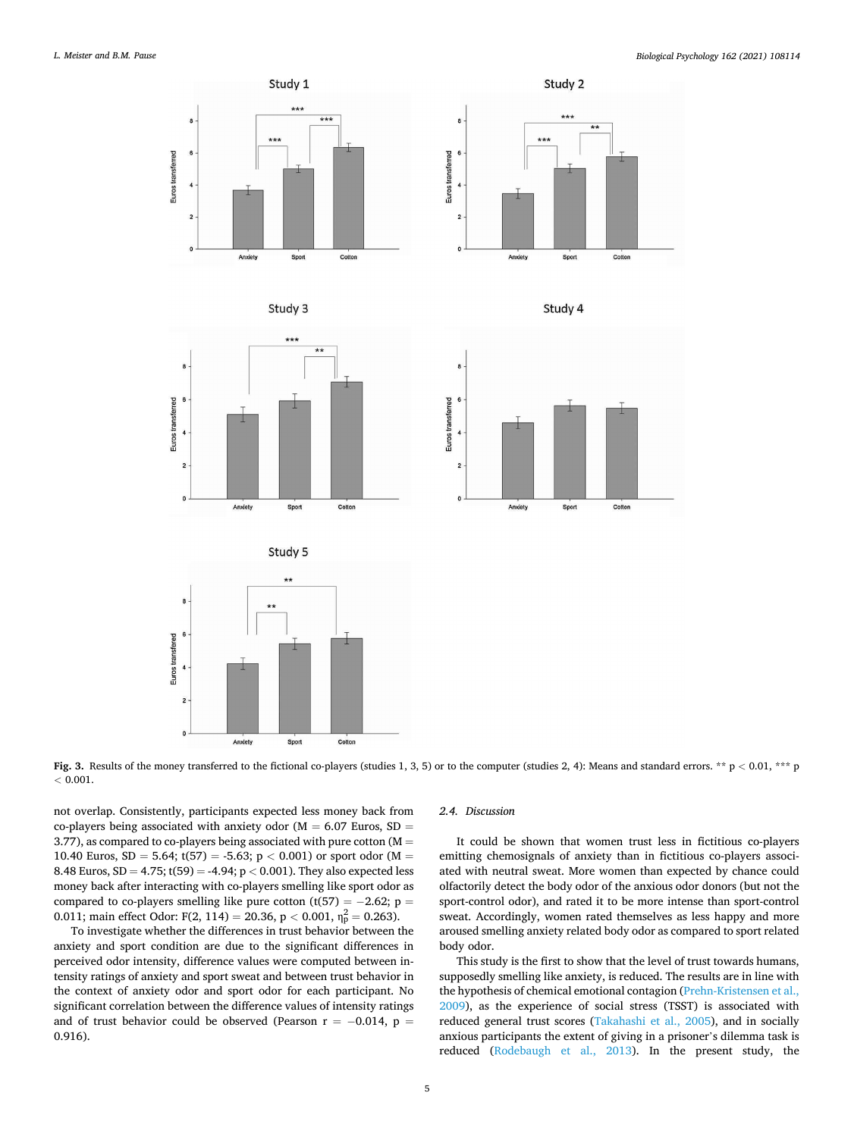<span id="page-4-0"></span>

**Fig. 3.** Results of the money transferred to the fictional co-players (studies 1, 3, 5) or to the computer (studies 2, 4): Means and standard errors. \*\* p < 0.01, \*\*\* p *<* 0.001.

not overlap. Consistently, participants expected less money back from co-players being associated with anxiety odor ( $M = 6.07$  Euros, SD = 3.77), as compared to co-players being associated with pure cotton ( $M =$ 10.40 Euros,  $SD = 5.64$ ;  $t(57) = -5.63$ ;  $p < 0.001$ ) or sport odor (M = 8.48 Euros, SD = 4.75; t(59) = -4.94; p *<* 0.001). They also expected less money back after interacting with co-players smelling like sport odor as compared to co-players smelling like pure cotton (t(57) =  $-2.62$ ; p = 0.011; main effect Odor: F(2, 114) = 20.36, p < 0.001,  $\eta_p^2 = 0.263$ ).

Anxiet

Sport

Cotto

ï

To investigate whether the differences in trust behavior between the anxiety and sport condition are due to the significant differences in perceived odor intensity, difference values were computed between intensity ratings of anxiety and sport sweat and between trust behavior in the context of anxiety odor and sport odor for each participant. No significant correlation between the difference values of intensity ratings and of trust behavior could be observed (Pearson  $r = -0.014$ ,  $p =$ 0.916).

#### *2.4. Discussion*

It could be shown that women trust less in fictitious co-players emitting chemosignals of anxiety than in fictitious co-players associated with neutral sweat. More women than expected by chance could olfactorily detect the body odor of the anxious odor donors (but not the sport-control odor), and rated it to be more intense than sport-control sweat. Accordingly, women rated themselves as less happy and more aroused smelling anxiety related body odor as compared to sport related body odor.

 $C<sub>OMon</sub>$ 

Cotton

This study is the first to show that the level of trust towards humans, supposedly smelling like anxiety, is reduced. The results are in line with the hypothesis of chemical emotional contagion [\(Prehn-Kristensen et al.,](#page-10-0)  [2009\)](#page-10-0), as the experience of social stress (TSST) is associated with reduced general trust scores ([Takahashi et al., 2005\)](#page-10-0), and in socially anxious participants the extent of giving in a prisoner's dilemma task is reduced ([Rodebaugh et al., 2013\)](#page-10-0). In the present study, the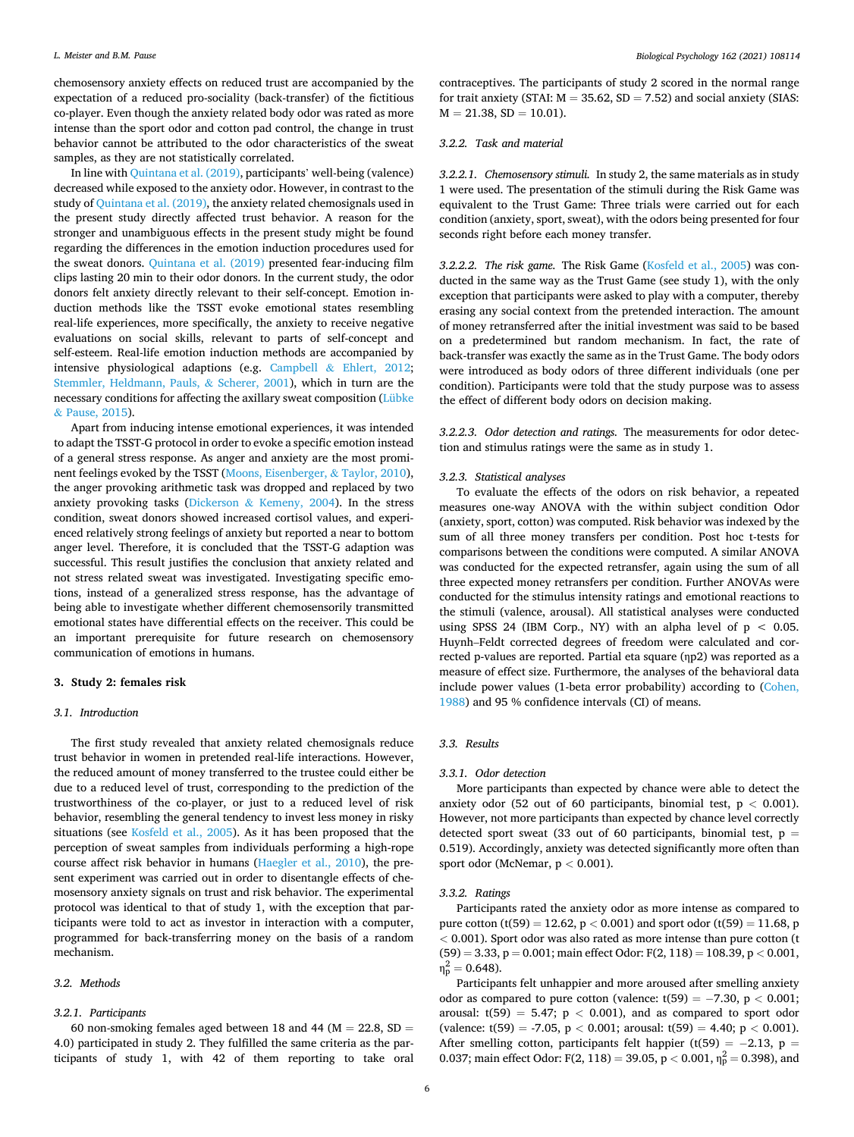chemosensory anxiety effects on reduced trust are accompanied by the expectation of a reduced pro-sociality (back-transfer) of the fictitious co-player. Even though the anxiety related body odor was rated as more intense than the sport odor and cotton pad control, the change in trust behavior cannot be attributed to the odor characteristics of the sweat samples, as they are not statistically correlated.

In line with [Quintana et al. \(2019\),](#page-10-0) participants' well-being (valence) decreased while exposed to the anxiety odor. However, in contrast to the study of [Quintana et al. \(2019\)](#page-10-0), the anxiety related chemosignals used in the present study directly affected trust behavior. A reason for the stronger and unambiguous effects in the present study might be found regarding the differences in the emotion induction procedures used for the sweat donors. [Quintana et al. \(2019\)](#page-10-0) presented fear-inducing film clips lasting 20 min to their odor donors. In the current study, the odor donors felt anxiety directly relevant to their self-concept. Emotion induction methods like the TSST evoke emotional states resembling real-life experiences, more specifically, the anxiety to receive negative evaluations on social skills, relevant to parts of self-concept and self-esteem. Real-life emotion induction methods are accompanied by intensive physiological adaptions (e.g. Campbell & [Ehlert, 2012](#page-10-0); [Stemmler, Heldmann, Pauls,](#page-10-0) & Scherer, 2001), which in turn are the necessary conditions for affecting the axillary sweat composition [\(Lübke](#page-10-0)  & [Pause, 2015](#page-10-0)).

Apart from inducing intense emotional experiences, it was intended to adapt the TSST-G protocol in order to evoke a specific emotion instead of a general stress response. As anger and anxiety are the most prominent feelings evoked by the TSST [\(Moons, Eisenberger,](#page-10-0) & Taylor, 2010), the anger provoking arithmetic task was dropped and replaced by two anxiety provoking tasks (Dickerson  $\&$  [Kemeny, 2004\)](#page-10-0). In the stress condition, sweat donors showed increased cortisol values, and experienced relatively strong feelings of anxiety but reported a near to bottom anger level. Therefore, it is concluded that the TSST-G adaption was successful. This result justifies the conclusion that anxiety related and not stress related sweat was investigated. Investigating specific emotions, instead of a generalized stress response, has the advantage of being able to investigate whether different chemosensorily transmitted emotional states have differential effects on the receiver. This could be an important prerequisite for future research on chemosensory communication of emotions in humans.

## **3. Study 2: females risk**

#### *3.1. Introduction*

The first study revealed that anxiety related chemosignals reduce trust behavior in women in pretended real-life interactions. However, the reduced amount of money transferred to the trustee could either be due to a reduced level of trust, corresponding to the prediction of the trustworthiness of the co-player, or just to a reduced level of risk behavior, resembling the general tendency to invest less money in risky situations (see [Kosfeld et al., 2005](#page-10-0)). As it has been proposed that the perception of sweat samples from individuals performing a high-rope course affect risk behavior in humans ([Haegler et al., 2010](#page-10-0)), the present experiment was carried out in order to disentangle effects of chemosensory anxiety signals on trust and risk behavior. The experimental protocol was identical to that of study 1, with the exception that participants were told to act as investor in interaction with a computer, programmed for back-transferring money on the basis of a random mechanism.

## *3.2. Methods*

## *3.2.1. Participants*

contraceptives. The participants of study 2 scored in the normal range for trait anxiety (STAI:  $M = 35.62$ , SD = 7.52) and social anxiety (SIAS:  $M = 21.38$ ,  $SD = 10.01$ ).

## *3.2.2. Task and material*

*3.2.2.1. Chemosensory stimuli.* In study 2, the same materials as in study 1 were used. The presentation of the stimuli during the Risk Game was equivalent to the Trust Game: Three trials were carried out for each condition (anxiety, sport, sweat), with the odors being presented for four seconds right before each money transfer.

*3.2.2.2. The risk game.* The Risk Game [\(Kosfeld et al., 2005\)](#page-10-0) was conducted in the same way as the Trust Game (see study 1), with the only exception that participants were asked to play with a computer, thereby erasing any social context from the pretended interaction. The amount of money retransferred after the initial investment was said to be based on a predetermined but random mechanism. In fact, the rate of back-transfer was exactly the same as in the Trust Game. The body odors were introduced as body odors of three different individuals (one per condition). Participants were told that the study purpose was to assess the effect of different body odors on decision making.

*3.2.2.3. Odor detection and ratings.* The measurements for odor detection and stimulus ratings were the same as in study 1.

## *3.2.3. Statistical analyses*

To evaluate the effects of the odors on risk behavior, a repeated measures one-way ANOVA with the within subject condition Odor (anxiety, sport, cotton) was computed. Risk behavior was indexed by the sum of all three money transfers per condition. Post hoc t-tests for comparisons between the conditions were computed. A similar ANOVA was conducted for the expected retransfer, again using the sum of all three expected money retransfers per condition. Further ANOVAs were conducted for the stimulus intensity ratings and emotional reactions to the stimuli (valence, arousal). All statistical analyses were conducted using SPSS 24 (IBM Corp., NY) with an alpha level of  $p < 0.05$ . Huynh–Feldt corrected degrees of freedom were calculated and corrected p-values are reported. Partial eta square (ηp2) was reported as a measure of effect size. Furthermore, the analyses of the behavioral data include power values (1-beta error probability) according to [\(Cohen,](#page-10-0)  [1988\)](#page-10-0) and 95 % confidence intervals (CI) of means.

## *3.3. Results*

## *3.3.1. Odor detection*

More participants than expected by chance were able to detect the anxiety odor  $(52 \text{ out of } 60 \text{ participants, binomial test, } p < 0.001)$ . However, not more participants than expected by chance level correctly detected sport sweat (33 out of 60 participants, binomial test,  $p =$ 0.519). Accordingly, anxiety was detected significantly more often than sport odor (McNemar, p *<* 0.001).

## *3.3.2. Ratings*

Participants rated the anxiety odor as more intense as compared to pure cotton (t(59) = 12.62, p *<* 0.001) and sport odor (t(59) = 11.68, p *<* 0.001). Sport odor was also rated as more intense than pure cotton (t (59) = 3.33, p = 0.001; main effect Odor: F(2, 118) = 108.39, p *<* 0.001,  $\eta_p^2 = 0.648$ .

Participants felt unhappier and more aroused after smelling anxiety odor as compared to pure cotton (valence: t(59) = −7.30, p *<* 0.001; arousal:  $t(59) = 5.47$ ;  $p < 0.001$ ), and as compared to sport odor (valence: t(59) = -7.05, p *<* 0.001; arousal: t(59) = 4.40; p *<* 0.001). After smelling cotton, participants felt happier (t(59) =  $-2.13$ , p = 0.037; main effect Odor: F(2, 118) = 39.05,  $p < 0.001$ ,  $n_p^2 = 0.398$ ), and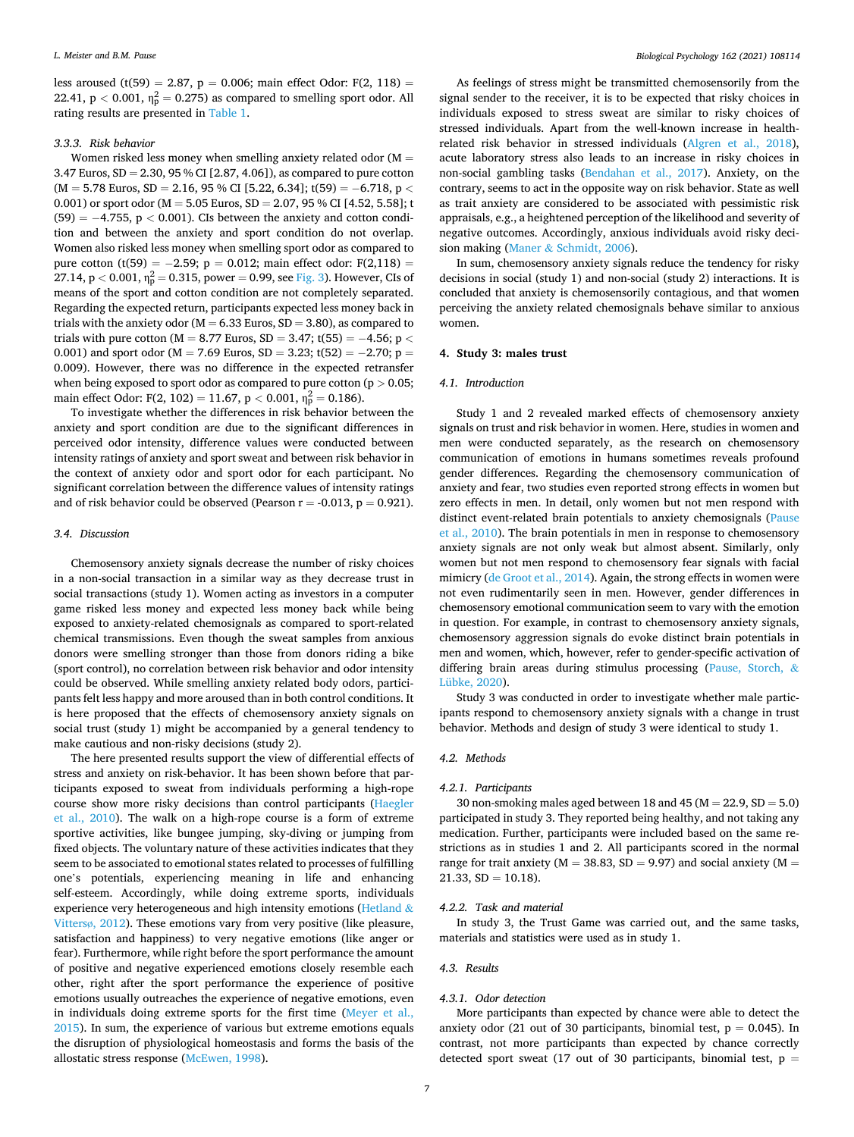less aroused (t(59) = 2.87,  $p = 0.006$ ; main effect Odor: F(2, 118) = 22.41,  $p < 0.001$ ,  $\eta_p^2 = 0.275$ ) as compared to smelling sport odor. All rating results are presented in [Table 1](#page-3-0).

## *3.3.3. Risk behavior*

Women risked less money when smelling anxiety related odor  $(M =$ 3.47 Euros, SD = 2.30, 95 % CI [2.87, 4.06]), as compared to pure cotton (M = 5.78 Euros, SD = 2.16, 95 % CI [5.22, 6.34]; t(59) = −6.718, p *<* 0.001) or sport odor ( $M = 5.05$  Euros,  $SD = 2.07$ , 95 % CI [4.52, 5.58]; t (59) = −4.755, p *<* 0.001). CIs between the anxiety and cotton condition and between the anxiety and sport condition do not overlap. Women also risked less money when smelling sport odor as compared to pure cotton (t(59) =  $-2.59$ ; p = 0.012; main effect odor: F(2,118) = 27.14,  $p < 0.001$ ,  $\eta_p^2 = 0.315$ , power = 0.99, see [Fig. 3](#page-4-0)). However, CIs of means of the sport and cotton condition are not completely separated. Regarding the expected return, participants expected less money back in trials with the anxiety odor ( $M = 6.33$  Euros,  $SD = 3.80$ ), as compared to trials with pure cotton (M = 8.77 Euros, SD = 3.47; t(55) =  $-4.56$ ; p < 0.001) and sport odor (M = 7.69 Euros, SD = 3.23; t(52) =  $-2.70$ ; p = 0.009). However, there was no difference in the expected retransfer when being exposed to sport odor as compared to pure cotton (p *>* 0.05; main effect Odor: F(2, 102) = 11.67,  $p < 0.001$ ,  $\eta_p^2 = 0.186$ ).

To investigate whether the differences in risk behavior between the anxiety and sport condition are due to the significant differences in perceived odor intensity, difference values were conducted between intensity ratings of anxiety and sport sweat and between risk behavior in the context of anxiety odor and sport odor for each participant. No significant correlation between the difference values of intensity ratings and of risk behavior could be observed (Pearson  $r = -0.013$ ,  $p = 0.921$ ).

#### *3.4. Discussion*

Chemosensory anxiety signals decrease the number of risky choices in a non-social transaction in a similar way as they decrease trust in social transactions (study 1). Women acting as investors in a computer game risked less money and expected less money back while being exposed to anxiety-related chemosignals as compared to sport-related chemical transmissions. Even though the sweat samples from anxious donors were smelling stronger than those from donors riding a bike (sport control), no correlation between risk behavior and odor intensity could be observed. While smelling anxiety related body odors, participants felt less happy and more aroused than in both control conditions. It is here proposed that the effects of chemosensory anxiety signals on social trust (study 1) might be accompanied by a general tendency to make cautious and non-risky decisions (study 2).

The here presented results support the view of differential effects of stress and anxiety on risk-behavior. It has been shown before that participants exposed to sweat from individuals performing a high-rope course show more risky decisions than control participants [\(Haegler](#page-10-0)  [et al., 2010\)](#page-10-0). The walk on a high-rope course is a form of extreme sportive activities, like bungee jumping, sky-diving or jumping from fixed objects. The voluntary nature of these activities indicates that they seem to be associated to emotional states related to processes of fulfilling one's potentials, experiencing meaning in life and enhancing self-esteem. Accordingly, while doing extreme sports, individuals experience very heterogeneous and high intensity emotions [\(Hetland](#page-10-0) & Vittersø[, 2012\)](#page-10-0). These emotions vary from very positive (like pleasure, satisfaction and happiness) to very negative emotions (like anger or fear). Furthermore, while right before the sport performance the amount of positive and negative experienced emotions closely resemble each other, right after the sport performance the experience of positive emotions usually outreaches the experience of negative emotions, even in individuals doing extreme sports for the first time [\(Meyer et al.,](#page-10-0)  [2015\)](#page-10-0). In sum, the experience of various but extreme emotions equals the disruption of physiological homeostasis and forms the basis of the allostatic stress response [\(McEwen, 1998](#page-10-0)).

As feelings of stress might be transmitted chemosensorily from the signal sender to the receiver, it is to be expected that risky choices in individuals exposed to stress sweat are similar to risky choices of stressed individuals. Apart from the well-known increase in healthrelated risk behavior in stressed individuals ([Algren et al., 2018](#page-9-0)), acute laboratory stress also leads to an increase in risky choices in non-social gambling tasks [\(Bendahan et al., 2017\)](#page-9-0). Anxiety, on the contrary, seems to act in the opposite way on risk behavior. State as well as trait anxiety are considered to be associated with pessimistic risk appraisals, e.g., a heightened perception of the likelihood and severity of negative outcomes. Accordingly, anxious individuals avoid risky decision making (Maner & [Schmidt, 2006](#page-10-0)).

In sum, chemosensory anxiety signals reduce the tendency for risky decisions in social (study 1) and non-social (study 2) interactions. It is concluded that anxiety is chemosensorily contagious, and that women perceiving the anxiety related chemosignals behave similar to anxious women.

## **4. Study 3: males trust**

#### *4.1. Introduction*

Study 1 and 2 revealed marked effects of chemosensory anxiety signals on trust and risk behavior in women. Here, studies in women and men were conducted separately, as the research on chemosensory communication of emotions in humans sometimes reveals profound gender differences. Regarding the chemosensory communication of anxiety and fear, two studies even reported strong effects in women but zero effects in men. In detail, only women but not men respond with distinct event-related brain potentials to anxiety chemosignals [\(Pause](#page-10-0)  [et al., 2010](#page-10-0)). The brain potentials in men in response to chemosensory anxiety signals are not only weak but almost absent. Similarly, only women but not men respond to chemosensory fear signals with facial mimicry ([de Groot et al., 2014\)](#page-10-0). Again, the strong effects in women were not even rudimentarily seen in men. However, gender differences in chemosensory emotional communication seem to vary with the emotion in question. For example, in contrast to chemosensory anxiety signals, chemosensory aggression signals do evoke distinct brain potentials in men and women, which, however, refer to gender-specific activation of differing brain areas during stimulus processing ([Pause, Storch,](#page-10-0) & [Lübke, 2020\)](#page-10-0).

Study 3 was conducted in order to investigate whether male participants respond to chemosensory anxiety signals with a change in trust behavior. Methods and design of study 3 were identical to study 1.

#### *4.2. Methods*

## *4.2.1. Participants*

30 non-smoking males aged between 18 and 45 ( $M = 22.9$ ,  $SD = 5.0$ ) participated in study 3. They reported being healthy, and not taking any medication. Further, participants were included based on the same restrictions as in studies 1 and 2. All participants scored in the normal range for trait anxiety ( $M = 38.83$ ,  $SD = 9.97$ ) and social anxiety ( $M =$  $21.33, SD = 10.18.$ 

#### *4.2.2. Task and material*

In study 3, the Trust Game was carried out, and the same tasks, materials and statistics were used as in study 1.

#### *4.3. Results*

#### *4.3.1. Odor detection*

More participants than expected by chance were able to detect the anxiety odor (21 out of 30 participants, binomial test,  $p = 0.045$ ). In contrast, not more participants than expected by chance correctly detected sport sweat (17 out of 30 participants, binomial test,  $p =$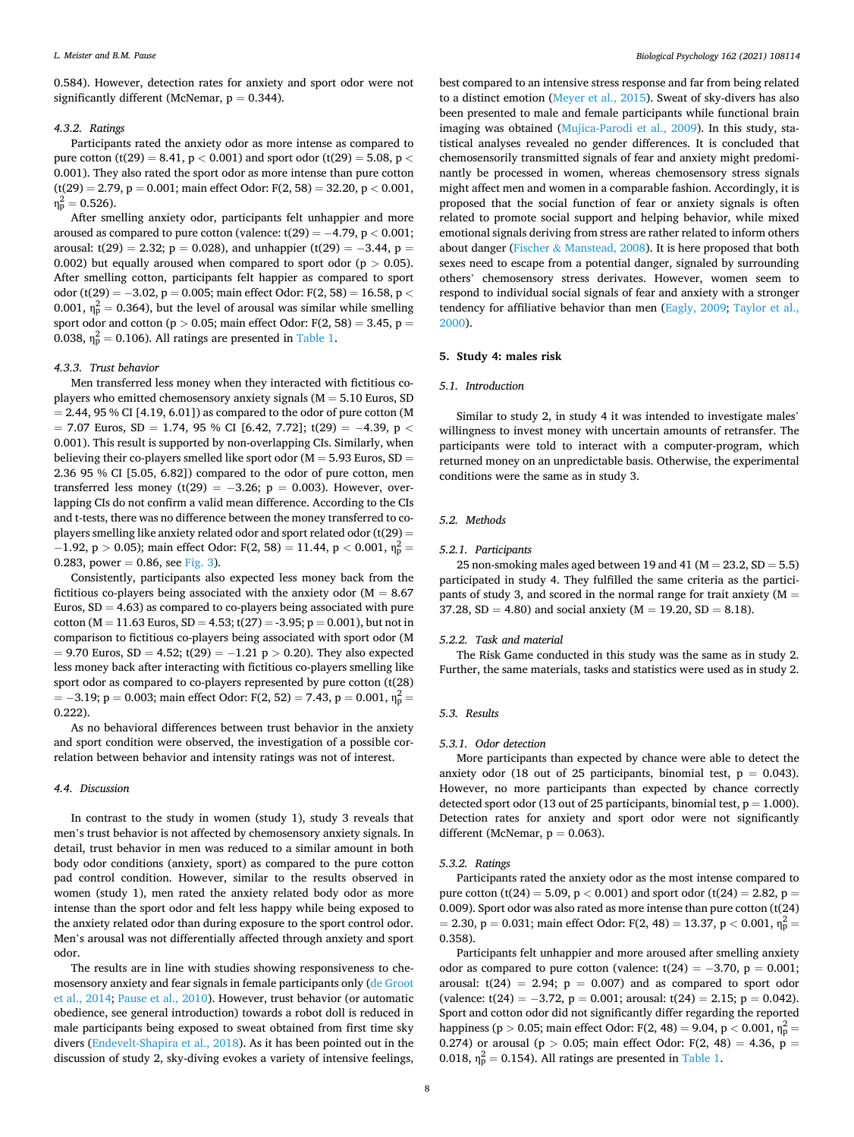0.584). However, detection rates for anxiety and sport odor were not significantly different (McNemar,  $p = 0.344$ ).

## *4.3.2. Ratings*

Participants rated the anxiety odor as more intense as compared to pure cotton (t(29) = 8.41, p *<* 0.001) and sport odor (t(29) = 5.08, p *<* 0.001). They also rated the sport odor as more intense than pure cotton (t(29) = 2.79, p = 0.001; main effect Odor: F(2, 58) = 32.20, p *<* 0.001,  $\eta_{\rm p}^2 = 0.526$ ).

After smelling anxiety odor, participants felt unhappier and more aroused as compared to pure cotton (valence: t(29) = −4.79, p *<* 0.001; arousal: t(29) = 2.32; p = 0.028), and unhappier (t(29) =  $-3.44$ , p = 0.002) but equally aroused when compared to sport odor (p *>* 0.05). After smelling cotton, participants felt happier as compared to sport odor (t(29) = −3.02, p = 0.005; main effect Odor: F(2, 58) = 16.58, p *<* 0.001,  $\eta_p^2 = 0.364$ ), but the level of arousal was similar while smelling sport odor and cotton (p *>* 0.05; main effect Odor: F(2, 58) = 3.45, p = 0.038,  $\eta_p^2$  = 0.106). All ratings are presented in [Table 1](#page-3-0).

## *4.3.3. Trust behavior*

Men transferred less money when they interacted with fictitious coplayers who emitted chemosensory anxiety signals ( $M = 5.10$  Euros, SD  $= 2.44$ , 95 % CI [4.19, 6.01]) as compared to the odor of pure cotton (M = 7.07 Euros, SD = 1.74, 95 % CI [6.42, 7.72]; t(29) = −4.39, p *<* 0.001). This result is supported by non-overlapping CIs. Similarly, when believing their co-players smelled like sport odor ( $M = 5.93$  Euros,  $SD =$ 2.36 95 % CI [5.05, 6.82]) compared to the odor of pure cotton, men transferred less money (t(29) =  $-3.26$ ; p = 0.003). However, overlapping CIs do not confirm a valid mean difference. According to the CIs and t-tests, there was no difference between the money transferred to coplayers smelling like anxiety related odor and sport related odor (t(29) = −1.92, p *>* 0.05); main effect Odor: F(2, 58) = 11.44, p *<* 0.001, η<sup>p</sup> <sup>2</sup>= 0.283, power = 0.86, see [Fig. 3](#page-4-0)).

Consistently, participants also expected less money back from the fictitious co-players being associated with the anxiety odor ( $M = 8.67$ ) Euros,  $SD = 4.63$ ) as compared to co-players being associated with pure cotton ( $M = 11.63$  Euros,  $SD = 4.53$ ; t(27) = -3.95; p = 0.001), but not in comparison to fictitious co-players being associated with sport odor (M = 9.70 Euros, SD = 4.52; t(29) = −1.21 p *>* 0.20). They also expected less money back after interacting with fictitious co-players smelling like sport odor as compared to co-players represented by pure cotton (t(28) =  $-3.19;$  p = 0.003; main effect Odor: F(2, 52) = 7.43, p = 0.001,  $\eta_{\rm p}^2$  = 0.222).

As no behavioral differences between trust behavior in the anxiety and sport condition were observed, the investigation of a possible correlation between behavior and intensity ratings was not of interest.

## *4.4. Discussion*

In contrast to the study in women (study 1), study 3 reveals that men's trust behavior is not affected by chemosensory anxiety signals. In detail, trust behavior in men was reduced to a similar amount in both body odor conditions (anxiety, sport) as compared to the pure cotton pad control condition. However, similar to the results observed in women (study 1), men rated the anxiety related body odor as more intense than the sport odor and felt less happy while being exposed to the anxiety related odor than during exposure to the sport control odor. Men's arousal was not differentially affected through anxiety and sport odor.

The results are in line with studies showing responsiveness to chemosensory anxiety and fear signals in female participants only [\(de Groot](#page-10-0)  [et al., 2014; Pause et al., 2010\)](#page-10-0). However, trust behavior (or automatic obedience, see general introduction) towards a robot doll is reduced in male participants being exposed to sweat obtained from first time sky divers [\(Endevelt-Shapira et al., 2018\)](#page-10-0). As it has been pointed out in the discussion of study 2, sky-diving evokes a variety of intensive feelings,

best compared to an intensive stress response and far from being related to a distinct emotion ([Meyer et al., 2015\)](#page-10-0). Sweat of sky-divers has also been presented to male and female participants while functional brain imaging was obtained ([Mujica-Parodi et al., 2009](#page-10-0)). In this study, statistical analyses revealed no gender differences. It is concluded that chemosensorily transmitted signals of fear and anxiety might predominantly be processed in women, whereas chemosensory stress signals might affect men and women in a comparable fashion. Accordingly, it is proposed that the social function of fear or anxiety signals is often related to promote social support and helping behavior, while mixed emotional signals deriving from stress are rather related to inform others about danger (Fischer & [Manstead, 2008](#page-10-0)). It is here proposed that both sexes need to escape from a potential danger, signaled by surrounding others' chemosensory stress derivates. However, women seem to respond to individual social signals of fear and anxiety with a stronger tendency for affiliative behavior than men [\(Eagly, 2009;](#page-10-0) [Taylor et al.,](#page-10-0)  [2000\)](#page-10-0).

## **5. Study 4: males risk**

## *5.1. Introduction*

Similar to study 2, in study 4 it was intended to investigate males' willingness to invest money with uncertain amounts of retransfer. The participants were told to interact with a computer-program, which returned money on an unpredictable basis. Otherwise, the experimental conditions were the same as in study 3.

## *5.2. Methods*

## *5.2.1. Participants*

25 non-smoking males aged between 19 and 41 ( $M = 23.2$ ,  $SD = 5.5$ ) participated in study 4. They fulfilled the same criteria as the participants of study 3, and scored in the normal range for trait anxiety  $(M =$ 37.28,  $SD = 4.80$ ) and social anxiety (M = 19.20,  $SD = 8.18$ ).

#### *5.2.2. Task and material*

The Risk Game conducted in this study was the same as in study 2. Further, the same materials, tasks and statistics were used as in study 2.

#### *5.3. Results*

## *5.3.1. Odor detection*

More participants than expected by chance were able to detect the anxiety odor (18 out of 25 participants, binomial test,  $p = 0.043$ ). However, no more participants than expected by chance correctly detected sport odor (13 out of 25 participants, binomial test,  $p = 1.000$ ). Detection rates for anxiety and sport odor were not significantly different (McNemar,  $p = 0.063$ ).

## *5.3.2. Ratings*

Participants rated the anxiety odor as the most intense compared to pure cotton (t(24) = 5.09, p *<* 0.001) and sport odor (t(24) = 2.82, p = 0.009). Sport odor was also rated as more intense than pure cotton (t(24) = 2.30, p = 0.031; main effect Odor: F(2, 48) = 13.37, p < 0.001,  $\eta_{\rm p}^2$  = 0.358).

Participants felt unhappier and more aroused after smelling anxiety odor as compared to pure cotton (valence:  $t(24) = -3.70$ ,  $p = 0.001$ ; arousal:  $t(24) = 2.94$ ;  $p = 0.007$ ) and as compared to sport odor (valence:  $t(24) = -3.72$ ,  $p = 0.001$ ; arousal:  $t(24) = 2.15$ ;  $p = 0.042$ ). Sport and cotton odor did not significantly differ regarding the reported happiness (p > 0.05; main effect Odor: F(2, 48) = 9.04, p < 0.001,  $\eta_{\rm p}^2$  = 0.274) or arousal ( $p > 0.05$ ; main effect Odor: F(2, 48) = 4.36,  $p =$ 0.018,  $\eta_p^2 = 0.154$ ). All ratings are presented in [Table 1](#page-3-0).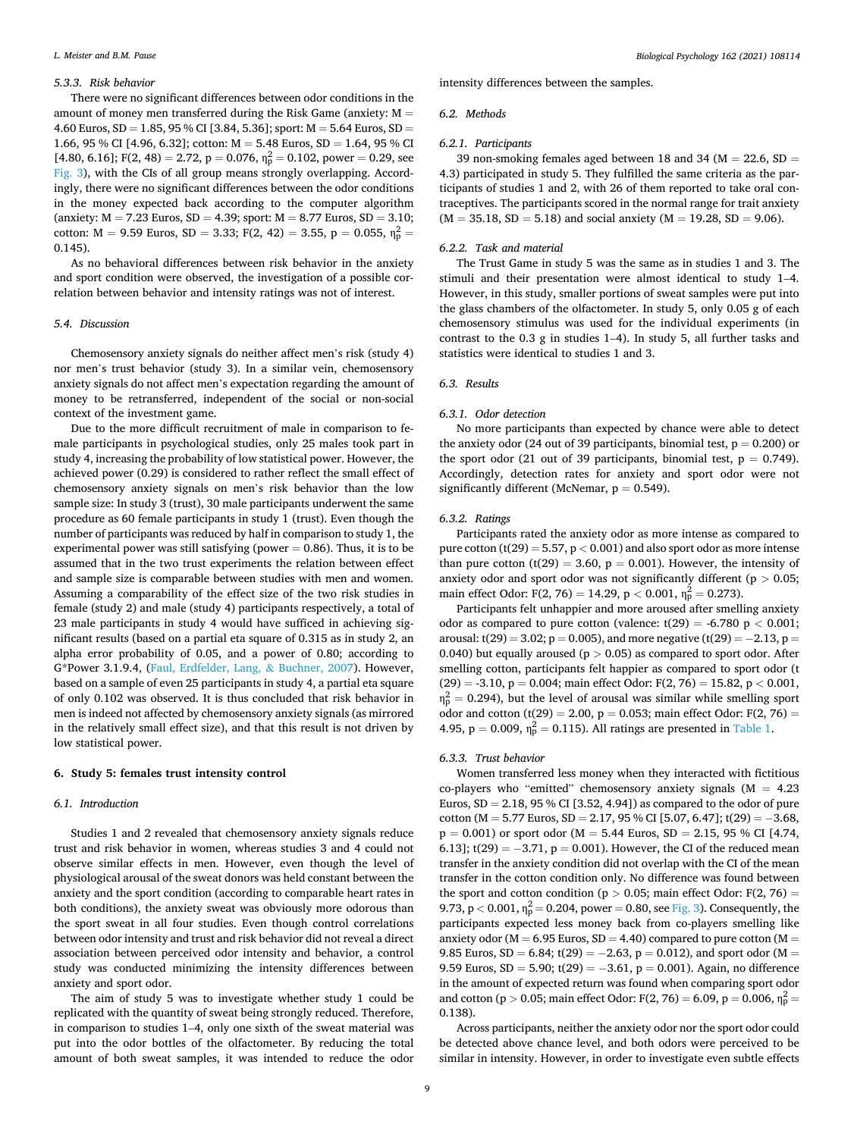#### *5.3.3. Risk behavior*

There were no significant differences between odor conditions in the amount of money men transferred during the Risk Game (anxiety:  $M =$ 4.60 Euros,  $SD = 1.85$ , 95 % CI [3.84, 5.36]; sport:  $M = 5.64$  Euros,  $SD =$ 1.66, 95 % CI [4.96, 6.32]; cotton:  $M = 5.48$  Euros,  $SD = 1.64$ , 95 % CI [4.80, 6.16]; F(2, 48) = 2.72, p = 0.076,  $\eta_p^2$  = 0.102, power = 0.29, see [Fig. 3](#page-4-0)), with the CIs of all group means strongly overlapping. Accordingly, there were no significant differences between the odor conditions in the money expected back according to the computer algorithm (anxiety:  $M = 7.23$  Euros,  $SD = 4.39$ ; sport:  $M = 8.77$  Euros,  $SD = 3.10$ ; cotton: M = 9.59 Euros, SD = 3.33; F(2, 42) = 3.55, p = 0.055,  $\eta_p^2$  = 0.145).

As no behavioral differences between risk behavior in the anxiety and sport condition were observed, the investigation of a possible correlation between behavior and intensity ratings was not of interest.

#### *5.4. Discussion*

Chemosensory anxiety signals do neither affect men's risk (study 4) nor men's trust behavior (study 3). In a similar vein, chemosensory anxiety signals do not affect men's expectation regarding the amount of money to be retransferred, independent of the social or non-social context of the investment game.

Due to the more difficult recruitment of male in comparison to female participants in psychological studies, only 25 males took part in study 4, increasing the probability of low statistical power. However, the achieved power (0.29) is considered to rather reflect the small effect of chemosensory anxiety signals on men's risk behavior than the low sample size: In study 3 (trust), 30 male participants underwent the same procedure as 60 female participants in study 1 (trust). Even though the number of participants was reduced by half in comparison to study 1, the experimental power was still satisfying (power  $= 0.86$ ). Thus, it is to be assumed that in the two trust experiments the relation between effect and sample size is comparable between studies with men and women. Assuming a comparability of the effect size of the two risk studies in female (study 2) and male (study 4) participants respectively, a total of 23 male participants in study 4 would have sufficed in achieving significant results (based on a partial eta square of 0.315 as in study 2, an alpha error probability of 0.05, and a power of 0.80; according to G\*Power 3.1.9.4, [\(Faul, Erdfelder, Lang,](#page-10-0) & Buchner, 2007). However, based on a sample of even 25 participants in study 4, a partial eta square of only 0.102 was observed. It is thus concluded that risk behavior in men is indeed not affected by chemosensory anxiety signals (as mirrored in the relatively small effect size), and that this result is not driven by low statistical power.

## **6. Study 5: females trust intensity control**

## *6.1. Introduction*

Studies 1 and 2 revealed that chemosensory anxiety signals reduce trust and risk behavior in women, whereas studies 3 and 4 could not observe similar effects in men. However, even though the level of physiological arousal of the sweat donors was held constant between the anxiety and the sport condition (according to comparable heart rates in both conditions), the anxiety sweat was obviously more odorous than the sport sweat in all four studies. Even though control correlations between odor intensity and trust and risk behavior did not reveal a direct association between perceived odor intensity and behavior, a control study was conducted minimizing the intensity differences between anxiety and sport odor.

The aim of study 5 was to investigate whether study 1 could be replicated with the quantity of sweat being strongly reduced. Therefore, in comparison to studies 1–4, only one sixth of the sweat material was put into the odor bottles of the olfactometer. By reducing the total amount of both sweat samples, it was intended to reduce the odor

intensity differences between the samples.

#### *6.2. Methods*

## *6.2.1. Participants*

39 non-smoking females aged between 18 and 34 ( $M = 22.6$ , SD = 4.3) participated in study 5. They fulfilled the same criteria as the participants of studies 1 and 2, with 26 of them reported to take oral contraceptives. The participants scored in the normal range for trait anxiety  $(M = 35.18, SD = 5.18)$  and social anxiety  $(M = 19.28, SD = 9.06)$ .

#### *6.2.2. Task and material*

The Trust Game in study 5 was the same as in studies 1 and 3. The stimuli and their presentation were almost identical to study 1–4. However, in this study, smaller portions of sweat samples were put into the glass chambers of the olfactometer. In study 5, only 0.05 g of each chemosensory stimulus was used for the individual experiments (in contrast to the 0.3 g in studies 1–4). In study 5, all further tasks and statistics were identical to studies 1 and 3.

## *6.3. Results*

#### *6.3.1. Odor detection*

No more participants than expected by chance were able to detect the anxiety odor (24 out of 39 participants, binomial test,  $p = 0.200$ ) or the sport odor (21 out of 39 participants, binomial test,  $p = 0.749$ ). Accordingly, detection rates for anxiety and sport odor were not significantly different (McNemar,  $p = 0.549$ ).

#### *6.3.2. Ratings*

Participants rated the anxiety odor as more intense as compared to pure cotton (t(29) = 5.57, p *<* 0.001) and also sport odor as more intense than pure cotton (t(29) = 3.60,  $p = 0.001$ ). However, the intensity of anxiety odor and sport odor was not significantly different (p *>* 0.05; main effect Odor: F(2, 76) = 14.29,  $p < 0.001$ ,  $\eta_p^2 = 0.273$ ).

Participants felt unhappier and more aroused after smelling anxiety odor as compared to pure cotton (valence:  $t(29) = -6.780$  p  $< 0.001$ ; arousal: t(29) = 3.02; p = 0.005), and more negative (t(29) =  $-2.13$ , p = 0.040) but equally aroused (p *>* 0.05) as compared to sport odor. After smelling cotton, participants felt happier as compared to sport odor (t (29) = -3.10, p = 0.004; main effect Odor: F(2, 76) = 15.82, p *<* 0.001,  $\eta_p^2 = 0.294$ ), but the level of arousal was similar while smelling sport odor and cotton (t(29) = 2.00,  $p = 0.053$ ; main effect Odor: F(2, 76) = 4.95,  $p = 0.009$ ,  $\eta_p^2 = 0.115$ ). All ratings are presented in [Table 1](#page-3-0).

#### *6.3.3. Trust behavior*

Women transferred less money when they interacted with fictitious co-players who "emitted" chemosensory anxiety signals  $(M = 4.23)$ Euros,  $SD = 2.18$ , 95 % CI [3.52, 4.94]) as compared to the odor of pure cotton (M = 5.77 Euros, SD = 2.17, 95 % CI [5.07, 6.47]; t(29) =  $-3.68$ ,  $p = 0.001$ ) or sport odor (M = 5.44 Euros, SD = 2.15, 95 % CI [4.74, 6.13]; t(29) =  $-3.71$ , p = 0.001). However, the CI of the reduced mean transfer in the anxiety condition did not overlap with the CI of the mean transfer in the cotton condition only. No difference was found between the sport and cotton condition ( $p > 0.05$ ; main effect Odor: F(2, 76) = 9.73,  $p < 0.001$ ,  $\eta_p^2 = 0.204$ , power = 0.80, see [Fig. 3](#page-4-0)). Consequently, the participants expected less money back from co-players smelling like anxiety odor ( $M = 6.95$  Euros,  $SD = 4.40$ ) compared to pure cotton ( $M =$ 9.85 Euros, SD = 6.84; t(29) =  $-2.63$ , p = 0.012), and sport odor (M = 9.59 Euros,  $SD = 5.90$ ; t(29) =  $-3.61$ , p = 0.001). Again, no difference in the amount of expected return was found when comparing sport odor and cotton (p > 0.05; main effect Odor: F(2, 76) = 6.09, p = 0.006,  $\eta_p^2$  = 0.138).

Across participants, neither the anxiety odor nor the sport odor could be detected above chance level, and both odors were perceived to be similar in intensity. However, in order to investigate even subtle effects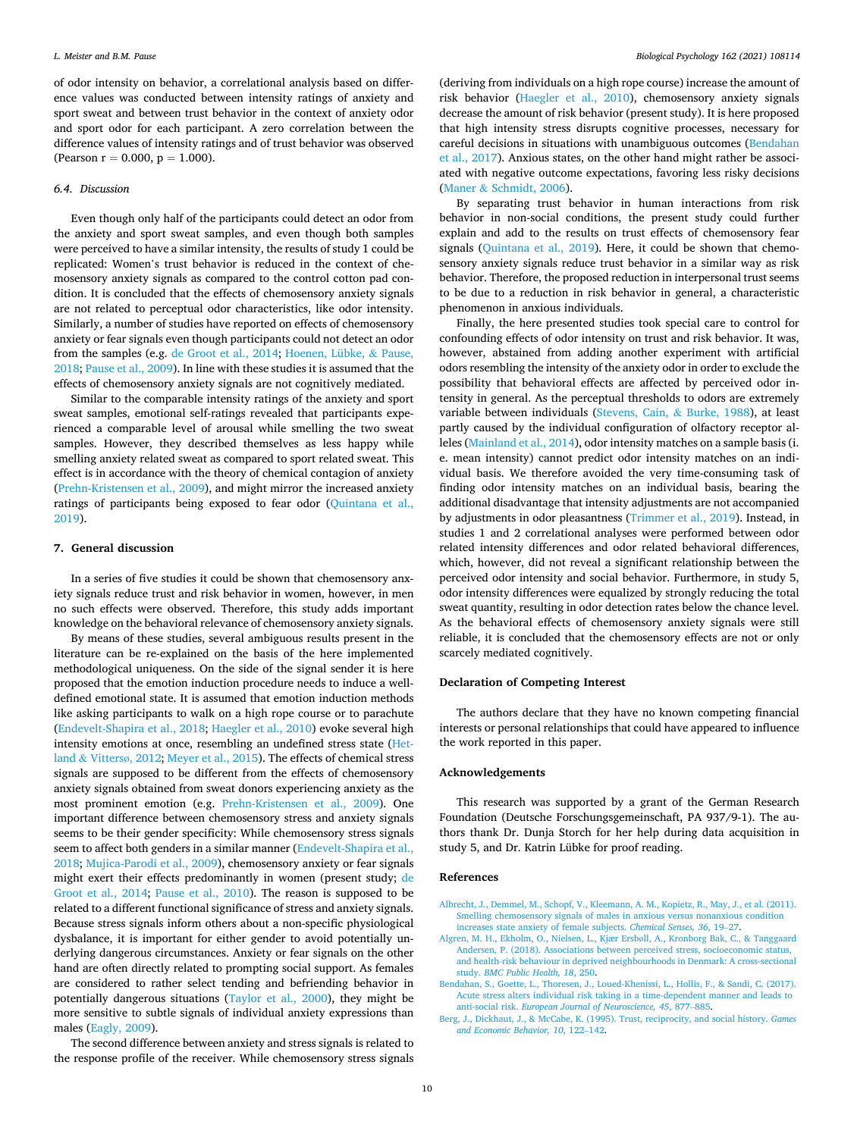<span id="page-9-0"></span>of odor intensity on behavior, a correlational analysis based on difference values was conducted between intensity ratings of anxiety and sport sweat and between trust behavior in the context of anxiety odor and sport odor for each participant. A zero correlation between the difference values of intensity ratings and of trust behavior was observed (Pearson  $r = 0.000$ ,  $p = 1.000$ ).

#### *6.4. Discussion*

Even though only half of the participants could detect an odor from the anxiety and sport sweat samples, and even though both samples were perceived to have a similar intensity, the results of study 1 could be replicated: Women's trust behavior is reduced in the context of chemosensory anxiety signals as compared to the control cotton pad condition. It is concluded that the effects of chemosensory anxiety signals are not related to perceptual odor characteristics, like odor intensity. Similarly, a number of studies have reported on effects of chemosensory anxiety or fear signals even though participants could not detect an odor from the samples (e.g. [de Groot et al., 2014](#page-10-0); [Hoenen, Lübke,](#page-10-0) & Pause, [2018; Pause et al., 2009\)](#page-10-0). In line with these studies it is assumed that the effects of chemosensory anxiety signals are not cognitively mediated.

Similar to the comparable intensity ratings of the anxiety and sport sweat samples, emotional self-ratings revealed that participants experienced a comparable level of arousal while smelling the two sweat samples. However, they described themselves as less happy while smelling anxiety related sweat as compared to sport related sweat. This effect is in accordance with the theory of chemical contagion of anxiety ([Prehn-Kristensen et al., 2009\)](#page-10-0), and might mirror the increased anxiety ratings of participants being exposed to fear odor [\(Quintana et al.,](#page-10-0)  [2019\)](#page-10-0).

## **7. General discussion**

In a series of five studies it could be shown that chemosensory anxiety signals reduce trust and risk behavior in women, however, in men no such effects were observed. Therefore, this study adds important knowledge on the behavioral relevance of chemosensory anxiety signals.

By means of these studies, several ambiguous results present in the literature can be re-explained on the basis of the here implemented methodological uniqueness. On the side of the signal sender it is here proposed that the emotion induction procedure needs to induce a welldefined emotional state. It is assumed that emotion induction methods like asking participants to walk on a high rope course or to parachute ([Endevelt-Shapira et al., 2018](#page-10-0); [Haegler et al., 2010\)](#page-10-0) evoke several high intensity emotions at once, resembling an undefined stress state ([Het](#page-10-0)land & [Vitters](#page-10-0)ø, 2012; [Meyer et al., 2015](#page-10-0)). The effects of chemical stress signals are supposed to be different from the effects of chemosensory anxiety signals obtained from sweat donors experiencing anxiety as the most prominent emotion (e.g. [Prehn-Kristensen et al., 2009](#page-10-0)). One important difference between chemosensory stress and anxiety signals seems to be their gender specificity: While chemosensory stress signals seem to affect both genders in a similar manner [\(Endevelt-Shapira et al.,](#page-10-0)  [2018; Mujica-Parodi et al., 2009\)](#page-10-0), chemosensory anxiety or fear signals might exert their effects predominantly in women (present study; [de](#page-10-0)  [Groot et al., 2014;](#page-10-0) [Pause et al., 2010\)](#page-10-0). The reason is supposed to be related to a different functional significance of stress and anxiety signals. Because stress signals inform others about a non-specific physiological dysbalance, it is important for either gender to avoid potentially underlying dangerous circumstances. Anxiety or fear signals on the other hand are often directly related to prompting social support. As females are considered to rather select tending and befriending behavior in potentially dangerous situations ([Taylor et al., 2000](#page-10-0)), they might be more sensitive to subtle signals of individual anxiety expressions than males [\(Eagly, 2009](#page-10-0)).

The second difference between anxiety and stress signals is related to the response profile of the receiver. While chemosensory stress signals

(deriving from individuals on a high rope course) increase the amount of risk behavior ([Haegler et al., 2010](#page-10-0)), chemosensory anxiety signals decrease the amount of risk behavior (present study). It is here proposed that high intensity stress disrupts cognitive processes, necessary for careful decisions in situations with unambiguous outcomes (Bendahan et al., 2017). Anxious states, on the other hand might rather be associated with negative outcome expectations, favoring less risky decisions (Maner & [Schmidt, 2006\)](#page-10-0).

By separating trust behavior in human interactions from risk behavior in non-social conditions, the present study could further explain and add to the results on trust effects of chemosensory fear signals ([Quintana et al., 2019\)](#page-10-0). Here, it could be shown that chemosensory anxiety signals reduce trust behavior in a similar way as risk behavior. Therefore, the proposed reduction in interpersonal trust seems to be due to a reduction in risk behavior in general, a characteristic phenomenon in anxious individuals.

Finally, the here presented studies took special care to control for confounding effects of odor intensity on trust and risk behavior. It was, however, abstained from adding another experiment with artificial odors resembling the intensity of the anxiety odor in order to exclude the possibility that behavioral effects are affected by perceived odor intensity in general. As the perceptual thresholds to odors are extremely variable between individuals [\(Stevens, Cain,](#page-10-0) & Burke, 1988), at least partly caused by the individual configuration of olfactory receptor alleles ([Mainland et al., 2014\)](#page-10-0), odor intensity matches on a sample basis (i. e. mean intensity) cannot predict odor intensity matches on an individual basis. We therefore avoided the very time-consuming task of finding odor intensity matches on an individual basis, bearing the additional disadvantage that intensity adjustments are not accompanied by adjustments in odor pleasantness ([Trimmer et al., 2019](#page-10-0)). Instead, in studies 1 and 2 correlational analyses were performed between odor related intensity differences and odor related behavioral differences, which, however, did not reveal a significant relationship between the perceived odor intensity and social behavior. Furthermore, in study 5, odor intensity differences were equalized by strongly reducing the total sweat quantity, resulting in odor detection rates below the chance level. As the behavioral effects of chemosensory anxiety signals were still reliable, it is concluded that the chemosensory effects are not or only scarcely mediated cognitively.

## **Declaration of Competing Interest**

The authors declare that they have no known competing financial interests or personal relationships that could have appeared to influence the work reported in this paper.

## **Acknowledgements**

This research was supported by a grant of the German Research Foundation (Deutsche Forschungsgemeinschaft, PA 937/9-1). The authors thank Dr. Dunja Storch for her help during data acquisition in study 5, and Dr. Katrin Lübke for proof reading.

#### **References**

- [Albrecht, J., Demmel, M., Schopf, V., Kleemann, A. M., Kopietz, R., May, J., et al. \(2011\).](http://refhub.elsevier.com/S0301-0511(21)00107-1/sbref0005)  [Smelling chemosensory signals of males in anxious versus nonanxious condition](http://refhub.elsevier.com/S0301-0511(21)00107-1/sbref0005)  [increases state anxiety of female subjects.](http://refhub.elsevier.com/S0301-0511(21)00107-1/sbref0005) *Chemical Senses, 36*, 19–27.
- [Algren, M. H., Ekholm, O., Nielsen, L., Kjær Ersb](http://refhub.elsevier.com/S0301-0511(21)00107-1/sbref0010)øll, A., Kronborg Bak, C., & Tanggaard [Andersen, P. \(2018\). Associations between perceived stress, socioeconomic status,](http://refhub.elsevier.com/S0301-0511(21)00107-1/sbref0010) [and health-risk behaviour in deprived neighbourhoods in Denmark: A cross-sectional](http://refhub.elsevier.com/S0301-0511(21)00107-1/sbref0010)  study. *[BMC Public Health, 18](http://refhub.elsevier.com/S0301-0511(21)00107-1/sbref0010)*, 250.
- [Bendahan, S., Goette, L., Thoresen, J., Loued-Khenissi, L., Hollis, F., & Sandi, C. \(2017\).](http://refhub.elsevier.com/S0301-0511(21)00107-1/sbref0015)  [Acute stress alters individual risk taking in a time-dependent manner and leads to](http://refhub.elsevier.com/S0301-0511(21)00107-1/sbref0015)  anti-social risk. *[European Journal of Neuroscience, 45](http://refhub.elsevier.com/S0301-0511(21)00107-1/sbref0015)*, 877–885.
- [Berg, J., Dickhaut, J., & McCabe, K. \(1995\). Trust, reciprocity, and social history.](http://refhub.elsevier.com/S0301-0511(21)00107-1/sbref0020) *Games [and Economic Behavior, 10](http://refhub.elsevier.com/S0301-0511(21)00107-1/sbref0020)*, 122–142.